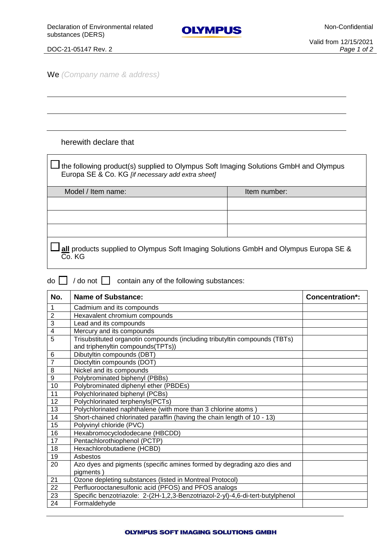

## DOC-21-05147 Rev. 2 *Page 1 of 2*

We *(Company name & address)*

## herewith declare that

 $\Box$  the following product(s) supplied to Olympus Soft Imaging Solutions GmbH and Olympus Europa SE & Co. KG *[if necessary add extra sheet]*

| Model / Item name: | Item number: |
|--------------------|--------------|
|                    |              |
|                    |              |
|                    |              |
|                    |              |

**all** products supplied to Olympus Soft Imaging Solutions GmbH and Olympus Europa SE & Co. KG

 $\overline{d}$  / do not  $\Box$  contain any of the following substances:

| No.                     | <b>Name of Substance:</b>                                                      | Concentration*: |
|-------------------------|--------------------------------------------------------------------------------|-----------------|
| 1                       | Cadmium and its compounds                                                      |                 |
| $\overline{2}$          | Hexavalent chromium compounds                                                  |                 |
| 3                       | Lead and its compounds                                                         |                 |
| $\overline{\mathbf{4}}$ | Mercury and its compounds                                                      |                 |
| 5                       | Trisubstituted organotin compounds (including tributyltin compounds (TBTs)     |                 |
|                         | and triphenyltin compounds(TPTs))                                              |                 |
| $6\phantom{1}6$         | Dibutyltin compounds (DBT)                                                     |                 |
| $\overline{7}$          | Dioctyltin compounds (DOT)                                                     |                 |
| 8                       | Nickel and its compounds                                                       |                 |
| 9                       | Polybrominated biphenyl (PBBs)                                                 |                 |
| 10                      | Polybrominated diphenyl ether (PBDEs)                                          |                 |
| 11                      | Polychlorinated biphenyl (PCBs)                                                |                 |
| 12                      | Polychlorinated terphenyls(PCTs)                                               |                 |
| 13                      | Polychlorinated naphthalene (with more than 3 chlorine atoms)                  |                 |
| 14                      | Short-chained chlorinated paraffin (having the chain length of 10 - 13)        |                 |
| 15                      | Polyvinyl chloride (PVC)                                                       |                 |
| 16                      | Hexabromocyclododecane (HBCDD)                                                 |                 |
| 17                      | Pentachlorothiophenol (PCTP)                                                   |                 |
| 18                      | Hexachlorobutadiene (HCBD)                                                     |                 |
| 19                      | Asbestos                                                                       |                 |
| 20                      | Azo dyes and pigments (specific amines formed by degrading azo dies and        |                 |
|                         | pigments)                                                                      |                 |
| 21                      | Ozone depleting substances (listed in Montreal Protocol)                       |                 |
| 22                      | Perfluorooctanesulfonic acid (PFOS) and PFOS analogs                           |                 |
| 23                      | Specific benzotriazole: 2-(2H-1,2,3-Benzotriazol-2-yl)-4,6-di-tert-butylphenol |                 |
| 24                      | Formaldehyde                                                                   |                 |